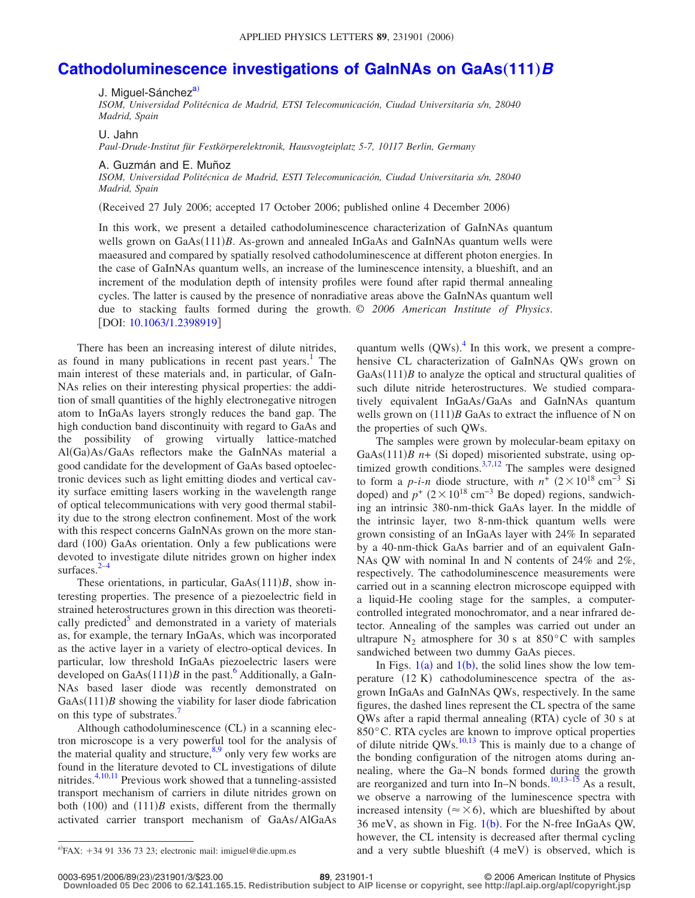## **[Cathodoluminescence investigations of GaInNAs on GaAs](http://dx.doi.org/10.1063/1.2398919)(111)** *B*

J. Miguel-Sánchez<sup>a)</sup>

*ISOM, Universidad Politécnica de Madrid, ETSI Telecomunicación, Ciudad Universitaria s/n, 28040 Madrid, Spain*

U. Jahn

*Paul-Drude-Institut für Festkörperelektronik, Hausvogteiplatz 5-7, 10117 Berlin, Germany*

A. Guzmán and E. Muñoz

*ISOM, Universidad Politécnica de Madrid, ESTI Telecomunicación, Ciudad Universitaria s/n, 28040 Madrid, Spain*

(Received 27 July 2006; accepted 17 October 2006; published online 4 December 2006)

In this work, we present a detailed cathodoluminescence characterization of GaInNAs quantum wells grown on GaAs(111)B. As-grown and annealed InGaAs and GaInNAs quantum wells were maeasured and compared by spatially resolved cathodoluminescence at different photon energies. In the case of GaInNAs quantum wells, an increase of the luminescence intensity, a blueshift, and an increment of the modulation depth of intensity profiles were found after rapid thermal annealing cycles. The latter is caused by the presence of nonradiative areas above the GaInNAs quantum well due to stacking faults formed during the growth. © *2006 American Institute of Physics*. [DOI: [10.1063/1.2398919](http://dx.doi.org/10.1063/1.2398919)]

There has been an increasing interest of dilute nitrides, as found in many publications in recent past years.<sup>1</sup> The main interest of these materials and, in particular, of GaIn-NAs relies on their interesting physical properties: the addition of small quantities of the highly electronegative nitrogen atom to InGaAs layers strongly reduces the band gap. The high conduction band discontinuity with regard to GaAs and the possibility of growing virtually lattice-matched Al(Ga)As/GaAs reflectors make the GaInNAs material a good candidate for the development of GaAs based optoelectronic devices such as light emitting diodes and vertical cavity surface emitting lasers working in the wavelength range of optical telecommunications with very good thermal stability due to the strong electron confinement. Most of the work with this respect concerns GaInNAs grown on the more standard (100) GaAs orientation. Only a few publications were devoted to investigate dilute nitrides grown on higher index surfaces. $2-4$  $2-4$ 

These orientations, in particular, GaAs(111)B, show interesting properties. The presence of a piezoelectric field in strained heterostructures grown in this direction was theoretically predicted<sup>3</sup> and demonstrated in a variety of materials as, for example, the ternary InGaAs, which was incorporated as the active layer in a variety of electro-optical devices. In particular, low threshold InGaAs piezoelectric lasers were developed on  $GaAs(111)B$  in the past.<sup>6</sup> Additionally, a GaIn-NAs based laser diode was recently demonstrated on  $GaAs(111)$ *B* showing the viability for laser diode fabrication on this type of substrates.<sup>7</sup>

Although cathodoluminescence (CL) in a scanning electron microscope is a very powerful tool for the analysis of the material quality and structure,  $8.9$  only very few works are found in the literature devoted to CL investigations of dilute nitrides.<sup>4,[10](#page-2-8)[,11](#page-2-9)</sup> Previous work showed that a tunneling-assisted transport mechanism of carriers in dilute nitrides grown on both  $(100)$  and  $(111)B$  exists, different from the thermally activated carrier transport mechanism of GaAs/AlGaAs

quantum wells  $(QWs)$ .<sup>[4](#page-2-2)</sup> In this work, we present a comprehensive CL characterization of GaInNAs QWs grown on  $GaAs(111)$ *B* to analyze the optical and structural qualities of such dilute nitride heterostructures. We studied comparatively equivalent InGaAs/GaAs and GaInNAs quantum wells grown on  $(111)B$  GaAs to extract the influence of N on the properties of such QWs.

The samples were grown by molecular-beam epitaxy on GaAs(111)*B* n+ (Si doped) misoriented substrate, using op-timized growth conditions.<sup>3,[7](#page-2-5)[,12](#page-2-11)</sup> The samples were designed to form a *p-i-n* diode structure, with  $n^{\frac{1}{2}}$  (2×10<sup>18</sup> cm<sup>-3</sup> Si doped) and  $p^+$  (2 × 10<sup>18</sup> cm<sup>-3</sup> Be doped) regions, sandwiching an intrinsic 380-nm-thick GaAs layer. In the middle of the intrinsic layer, two 8-nm-thick quantum wells were grown consisting of an InGaAs layer with 24% In separated by a 40-nm-thick GaAs barrier and of an equivalent GaIn-NAs QW with nominal In and N contents of 24% and 2%, respectively. The cathodoluminescence measurements were carried out in a scanning electron microscope equipped with a liquid-He cooling stage for the samples, a computercontrolled integrated monochromator, and a near infrared detector. Annealing of the samples was carried out under an ultrapure  $N_2$  atmosphere for 30 s at 850°C with samples sandwiched between two dummy GaAs pieces.

In Figs.  $1(a)$  $1(a)$  and  $1(b)$ , the solid lines show the low temperature (12 K) cathodoluminescence spectra of the asgrown InGaAs and GaInNAs QWs, respectively. In the same figures, the dashed lines represent the CL spectra of the same QWs after a rapid thermal annealing (RTA) cycle of 30 s at 850°C. RTA cycles are known to improve optical properties of dilute nitride  $QWs$ .<sup>10,[13](#page-2-12)</sup> This is mainly due to a change of the bonding configuration of the nitrogen atoms during annealing, where the Ga–N bonds formed during the growth are reorganized and turn into In–N bonds.<sup>10,[13–](#page-2-12)[15](#page-2-13)</sup> As a result, we observe a narrowing of the luminescence spectra with increased intensity ( $\approx \times 6$ ), which are blueshifted by about 36 meV, as shown in Fig.  $1(b)$  $1(b)$ . For the N-free InGaAs QW, however, the CL intensity is decreased after thermal cycling  $a<sup>th</sup>FAX$ : +34 91 336 73 23; electronic mail: imiguel@die.upm.es and a very subtle blueshift (4 meV) is observed, which is

0003-6951/2006/89(23)/231901/3/\$23.00

**Downloaded 05 Dec 2006 to 62.141.165.15. Redistribution subject to AIP license or copyright, see http://apl.aip.org/apl/copyright.jsp**

<span id="page-0-0"></span> $P$ FAX: +34 91 336 73 23; electronic mail: imiguel@die.upm.es

**<sup>23.231901-1</sup>** © 2006 American Institute of Physics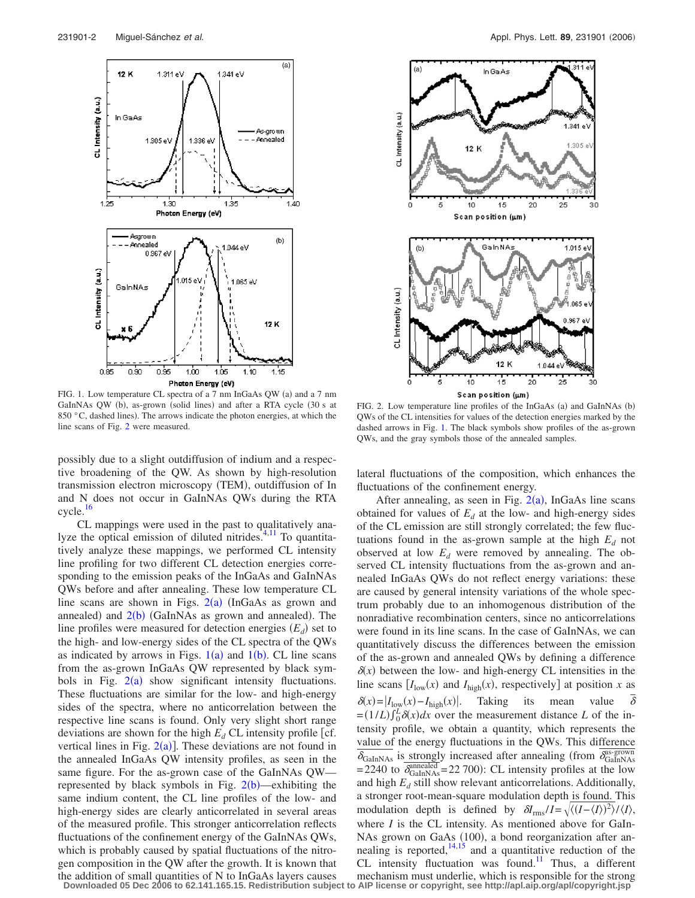<span id="page-1-0"></span>

FIG. 1. Low temperature CL spectra of a 7 nm InGaAs QW (a) and a 7 nm GaInNAs QW (b), as-grown (solid lines) and after a RTA cycle (30 s at 850  $\degree$ C, dashed lines). The arrows indicate the photon energies, at which the line scans of Fig. [2](#page-1-1) were measured.

possibly due to a slight outdiffusion of indium and a respective broadening of the QW. As shown by high-resolution transmission electron microscopy (TEM), outdiffusion of In and N does not occur in GaInNAs QWs during the RTA cycle[.16](#page-2-14)

CL mappings were used in the past to qualitatively ana-lyze the optical emission of diluted nitrides.<sup>4[,11](#page-2-9)</sup> To quantitatively analyze these mappings, we performed CL intensity line profiling for two different CL detection energies corresponding to the emission peaks of the InGaAs and GaInNAs QWs before and after annealing. These low temperature CL line scans are shown in Figs.  $2(a)$  $2(a)$  (InGaAs as grown and annealed) and  $2(b)$  $2(b)$  (GaInNAs as grown and annealed). The line profiles were measured for detection energies  $(E_d)$  set to the high- and low-energy sides of the CL spectra of the QWs as indicated by arrows in Figs.  $1(a)$  $1(a)$  and  $1(b)$ . CL line scans from the as-grown InGaAs QW represented by black symbols in Fig.  $2(a)$  $2(a)$  show significant intensity fluctuations. These fluctuations are similar for the low- and high-energy sides of the spectra, where no anticorrelation between the respective line scans is found. Only very slight short range deviations are shown for the high  $E_d$  CL intensity profile [cf. vertical lines in Fig.  $2(a)$  $2(a)$ ]. These deviations are not found in the annealed InGaAs QW intensity profiles, as seen in the same figure. For the as-grown case of the GaInNAs QW represented by black symbols in Fig.  $2(b)$  $2(b)$ —exhibiting the same indium content, the CL line profiles of the low- and high-energy sides are clearly anticorrelated in several areas of the measured profile. This stronger anticorrelation reflects fluctuations of the confinement energy of the GaInNAs QWs, which is probably caused by spatial fluctuations of the nitrogen composition in the QW after the growth. It is known that the addition of small quantities of N to InGaAs layers causes

<span id="page-1-1"></span>

FIG. 2. Low temperature line profiles of the InGaAs (a) and GaInNAs (b) QWs of the CL intensities for values of the detection energies marked by the dashed arrows in Fig. [1.](#page-1-0) The black symbols show profiles of the as-grown QWs, and the gray symbols those of the annealed samples.

lateral fluctuations of the composition, which enhances the fluctuations of the confinement energy.

After annealing, as seen in Fig.  $2(a)$  $2(a)$ , InGaAs line scans obtained for values of  $E_d$  at the low- and high-energy sides of the CL emission are still strongly correlated; the few fluctuations found in the as-grown sample at the high  $E_d$  not observed at low  $E_d$  were removed by annealing. The observed CL intensity fluctuations from the as-grown and annealed InGaAs QWs do not reflect energy variations: these are caused by general intensity variations of the whole spectrum probably due to an inhomogenous distribution of the nonradiative recombination centers, since no anticorrelations were found in its line scans. In the case of GaInNAs, we can quantitatively discuss the differences between the emission of the as-grown and annealed QWs by defining a difference  $\delta(x)$  between the low- and high-energy CL intensities in the line scans  $[I_{low}(x)$  and  $I_{high}(x)$ , respectively] at position *x* as  $\delta(x) = |I_{\text{low}}(x) - I_{\text{high}}(x)|$ . Taking its mean value  $\delta$  $\delta$  $L = (1/L) \int_0^L \delta(x) dx$  over the measurement distance *L* of the intensity profile, we obtain a quantity, which represents the value of the energy fluctuations in the QWs. This difference  $\delta_{\text{GalnNAs}}$  is strongly increased after annealing (from  $\delta_{\text{GalnNAs}}^{\text{as-grown}}$ = 2240 to  $\overline{\delta_{\text{GalnNAs}}^{annealed}}$  = 22 700): CL intensity profiles at the low and high  $E_d$  still show relevant anticorrelations. Additionally, a stronger root-mean-square modulation depth is found. This modulation depth is defined by  $\delta l_{\text{rms}}/I = \sqrt{\langle (I - \langle I \rangle)^2 \rangle / \langle I \rangle}$ , where *I* is the CL intensity. As mentioned above for GaIn-NAs grown on GaAs (100), a bond reorganization after annealing is reported, $\frac{14,15}{2}$  $\frac{14,15}{2}$  $\frac{14,15}{2}$  and a quantitative reduction of the CL intensity fluctuation was found.<sup>11</sup> Thus, a different mechanism must underlie, which is responsible for the strong

**Downloaded 05 Dec 2006 to 62.141.165.15. Redistribution subject to AIP license or copyright, see http://apl.aip.org/apl/copyright.jsp**